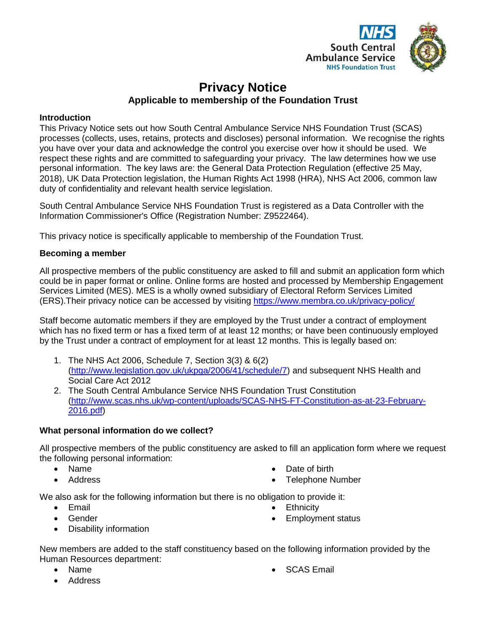

# **Privacy Notice Applicable to membership of the Foundation Trust**

# **Introduction**

This Privacy Notice sets out how South Central Ambulance Service NHS Foundation Trust (SCAS) processes (collects, uses, retains, protects and discloses) personal information. We recognise the rights you have over your data and acknowledge the control you exercise over how it should be used. We respect these rights and are committed to safeguarding your privacy. The law determines how we use personal information. The key laws are: the General Data Protection Regulation (effective 25 May, 2018), UK Data Protection legislation, the Human Rights Act 1998 (HRA), NHS Act 2006, common law duty of confidentiality and relevant health service legislation.

South Central Ambulance Service NHS Foundation Trust is registered as a Data Controller with the Information Commissioner's Office (Registration Number: Z9522464).

This privacy notice is specifically applicable to membership of the Foundation Trust.

# **Becoming a member**

All prospective members of the public constituency are asked to fill and submit an application form which could be in paper format or online. Online forms are hosted and processed by Membership Engagement Services Limited (MES). MES is a wholly owned subsidiary of Electoral Reform Services Limited (ERS).Their privacy notice can be accessed by visiting<https://www.membra.co.uk/privacy-policy/>

Staff become automatic members if they are employed by the Trust under a contract of employment which has no fixed term or has a fixed term of at least 12 months; or have been continuously employed by the Trust under a contract of employment for at least 12 months. This is legally based on:

- 1. The NHS Act 2006, Schedule 7, Section 3(3) & 6(2) [\(http://www.legislation.gov.uk/ukpga/2006/41/schedule/7\)](http://www.legislation.gov.uk/ukpga/2006/41/schedule/7) and subsequent NHS Health and Social Care Act 2012
- 2. The South Central Ambulance Service NHS Foundation Trust Constitution [\(http://www.scas.nhs.uk/wp-content/uploads/SCAS-NHS-FT-Constitution-as-at-23-February-](http://www.scas.nhs.uk/wp-content/uploads/SCAS-NHS-FT-Constitution-as-at-23-February-2016.pdf)[2016.pdf\)](http://www.scas.nhs.uk/wp-content/uploads/SCAS-NHS-FT-Constitution-as-at-23-February-2016.pdf)

# **What personal information do we collect?**

All prospective members of the public constituency are asked to fill an application form where we request the following personal information:

- Name
- Address

Date of birth

**Ethnicity** 

Telephone Number

Employment status

We also ask for the following information but there is no obligation to provide it:

- Email
- Gender
- Disability information

New members are added to the staff constituency based on the following information provided by the Human Resources department:

Name

SCAS Email

• Address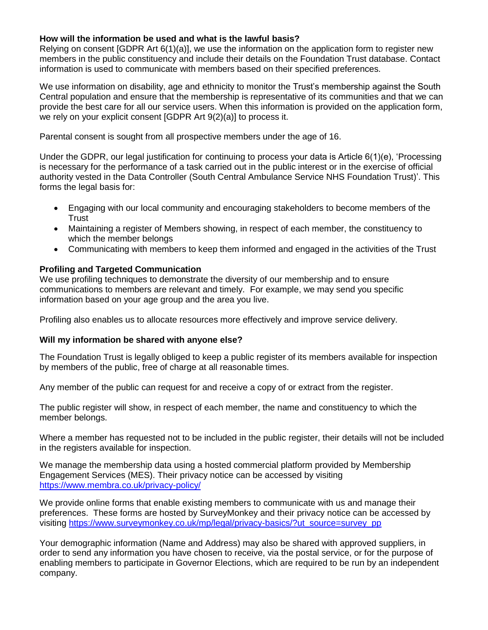# **How will the information be used and what is the lawful basis?**

Relying on consent [GDPR Art 6(1)(a)], we use the information on the application form to register new members in the public constituency and include their details on the Foundation Trust database. Contact information is used to communicate with members based on their specified preferences.

We use information on disability, age and ethnicity to monitor the Trust's membership against the South Central population and ensure that the membership is representative of its communities and that we can provide the best care for all our service users. When this information is provided on the application form, we rely on your explicit consent [GDPR Art 9(2)(a)] to process it.

Parental consent is sought from all prospective members under the age of 16.

Under the GDPR, our legal justification for continuing to process your data is Article 6(1)(e), 'Processing is necessary for the performance of a task carried out in the public interest or in the exercise of official authority vested in the Data Controller (South Central Ambulance Service NHS Foundation Trust)'. This forms the legal basis for:

- Engaging with our local community and encouraging stakeholders to become members of the **Trust**
- Maintaining a register of Members showing, in respect of each member, the constituency to which the member belongs
- Communicating with members to keep them informed and engaged in the activities of the Trust

# **Profiling and Targeted Communication**

We use profiling techniques to demonstrate the diversity of our membership and to ensure communications to members are relevant and timely. For example, we may send you specific information based on your age group and the area you live.

Profiling also enables us to allocate resources more effectively and improve service delivery.

#### **Will my information be shared with anyone else?**

The Foundation Trust is legally obliged to keep a public register of its members available for inspection by members of the public, free of charge at all reasonable times.

Any member of the public can request for and receive a copy of or extract from the register.

The public register will show, in respect of each member, the name and constituency to which the member belongs.

Where a member has requested not to be included in the public register, their details will not be included in the registers available for inspection.

We manage the membership data using a hosted commercial platform provided by Membership Engagement Services (MES). Their privacy notice can be accessed by visiting <https://www.membra.co.uk/privacy-policy/>

We provide online forms that enable existing members to communicate with us and manage their preferences. These forms are hosted by SurveyMonkey and their privacy notice can be accessed by visiting [https://www.surveymonkey.co.uk/mp/legal/privacy-basics/?ut\\_source=survey\\_pp](https://www.surveymonkey.co.uk/mp/legal/privacy-basics/?ut_source=survey_pp)

Your demographic information (Name and Address) may also be shared with approved suppliers, in order to send any information you have chosen to receive, via the postal service, or for the purpose of enabling members to participate in Governor Elections, which are required to be run by an independent company.